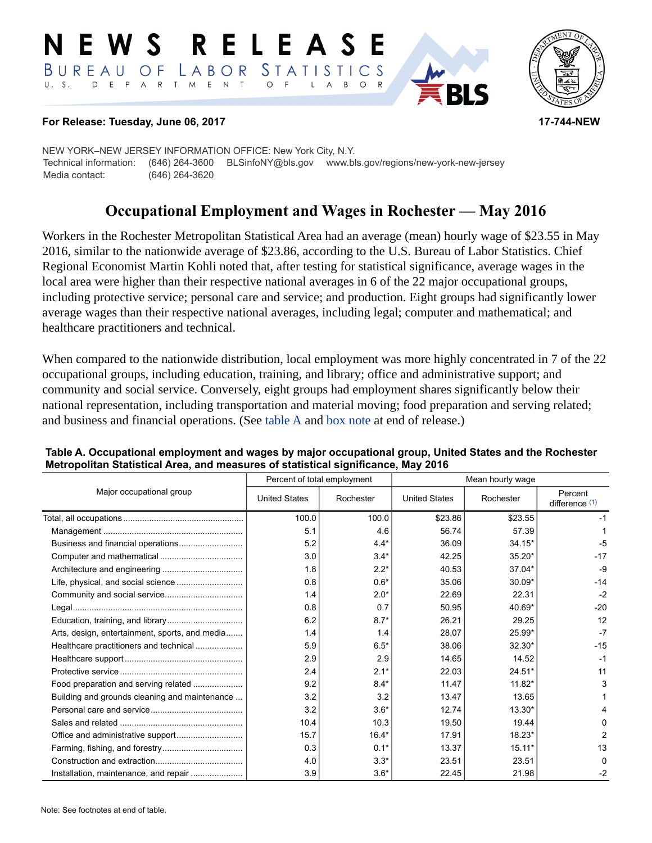#### RELEASE E W S LABOR STATISTICS BUREAU OF D E P A R T M E N T  $\circ$  $U. S.$  $\overline{A}$  $B$  $\circ$



### **For Release: Tuesday, June 06, 2017 17-744-NEW**

NEW YORK–NEW JERSEY INFORMATION OFFICE: New York City, N.Y. Technical information: (646) 264-3600 BLSinfoNY@bls.gov www.bls.gov/regions/new-york-new-jersey Media contact: (646) 264-3620

# **Occupational Employment and Wages in Rochester — May 2016**

Workers in the Rochester Metropolitan Statistical Area had an average (mean) hourly wage of \$23.55 in May 2016, similar to the nationwide average of \$23.86, according to the U.S. Bureau of Labor Statistics. Chief Regional Economist Martin Kohli noted that, after testing for statistical significance, average wages in the local area were higher than their respective national averages in 6 of the 22 major occupational groups, including protective service; personal care and service; and production. Eight groups had significantly lower average wages than their respective national averages, including legal; computer and mathematical; and healthcare practitioners and technical.

When compared to the nationwide distribution, local employment was more highly concentrated in 7 of the 22 occupational groups, including education, training, and library; office and administrative support; and community and social service. Conversely, eight groups had employment shares significantly below their national representation, including transportation and material moving; food preparation and serving related; and business and financial operations. (See table A and [box note](#page-1-0) at end of release.)

|                                                |                      | Percent of total employment | Mean hourly wage     |           |                             |  |
|------------------------------------------------|----------------------|-----------------------------|----------------------|-----------|-----------------------------|--|
| Major occupational group                       | <b>United States</b> | Rochester                   | <b>United States</b> | Rochester | Percent<br>difference $(1)$ |  |
|                                                | 100.0                | 100.0                       | \$23.86              | \$23.55   | -1                          |  |
|                                                | 5.1                  | 4.6                         | 56.74                | 57.39     |                             |  |
|                                                | 5.2                  | $4.4*$                      | 36.09                | $34.15*$  | -5                          |  |
|                                                | 3.0                  | $3.4*$                      | 42.25                | $35.20*$  | $-17$                       |  |
|                                                | 1.8                  | $2.2*$                      | 40.53                | 37.04*    | -9                          |  |
|                                                | 0.8                  | $0.6*$                      | 35.06                | $30.09*$  | $-14$                       |  |
| Community and social service                   | 1.4                  | $2.0*$                      | 22.69                | 22.31     | $-2$                        |  |
|                                                | 0.8                  | 0.7                         | 50.95                | 40.69*    | $-20$                       |  |
|                                                | 6.2                  | $8.7*$                      | 26.21                | 29.25     | 12                          |  |
| Arts, design, entertainment, sports, and media | 1.4                  | 1.4                         | 28.07                | 25.99*    | $-7$                        |  |
| Healthcare practitioners and technical         | 5.9                  | $6.5*$                      | 38.06                | $32.30*$  | $-15$                       |  |
|                                                | 2.9                  | 2.9                         | 14.65                | 14.52     | $-1$                        |  |
|                                                | 2.4                  | $2.1*$                      | 22.03                | $24.51*$  | 11                          |  |
| Food preparation and serving related           | 9.2                  | $8.4*$                      | 11.47                | 11.82*    | 3                           |  |
| Building and grounds cleaning and maintenance  | 3.2                  | 3.2                         | 13.47                | 13.65     |                             |  |
|                                                | 3.2                  | $3.6*$                      | 12.74                | $13.30*$  |                             |  |
|                                                | 10.4                 | 10.3                        | 19.50                | 19.44     | <sup>0</sup>                |  |
|                                                | 15.7                 | $16.4*$                     | 17.91                | 18.23*    | 2                           |  |
|                                                | 0.3                  | $0.1*$                      | 13.37                | $15.11*$  | 13                          |  |
|                                                | 4.0                  | $3.3*$                      | 23.51                | 23.51     | $\Omega$                    |  |
|                                                | 3.9                  | $3.6*$                      | 22.45                | 21.98     | $-2$                        |  |

### **Table A. Occupational employment and wages by major occupational group, United States and the Rochester Metropolitan Statistical Area, and measures of statistical significance, May 2016**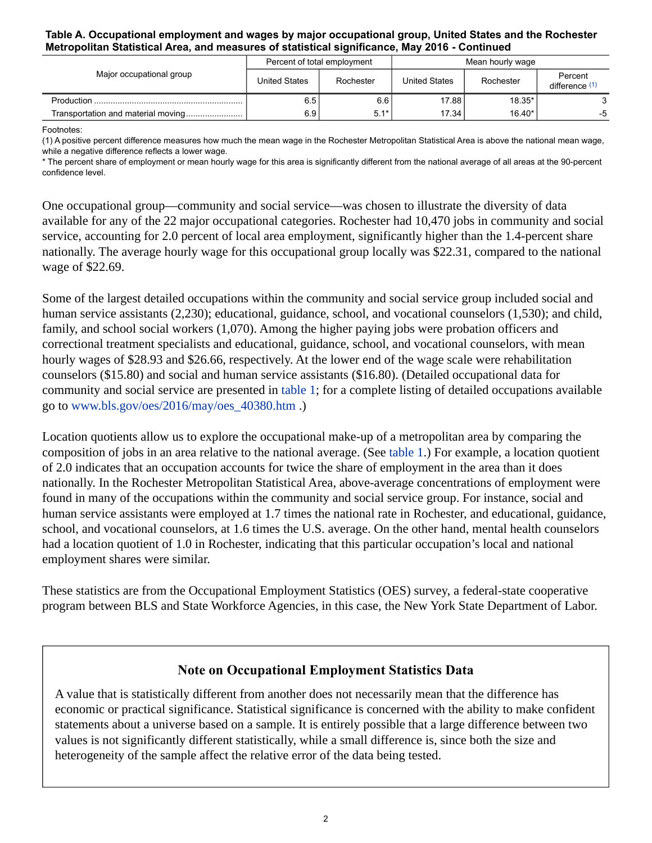### **Table A. Occupational employment and wages by major occupational group, United States and the Rochester Metropolitan Statistical Area, and measures of statistical significance, May 2016 - Continued**

| Major occupational group | Percent of total employment |           | Mean hourly wage |           |                           |
|--------------------------|-----------------------------|-----------|------------------|-----------|---------------------------|
|                          | <b>United States</b>        | Rochester | United States    | Rochester | Percent<br>difference (1) |
|                          | 6.5                         | 6.6       | 17.88            | $18.35*$  |                           |
|                          | 6.9 I                       | $5.1*$    | 17.34            | $16.40*$  | -5                        |

Footnotes:

<span id="page-1-1"></span>(1) A positive percent difference measures how much the mean wage in the Rochester Metropolitan Statistical Area is above the national mean wage, while a negative difference reflects a lower wage.

\* The percent share of employment or mean hourly wage for this area is significantly different from the national average of all areas at the 90-percent confidence level.

One occupational group—community and social service—was chosen to illustrate the diversity of data available for any of the 22 major occupational categories. Rochester had 10,470 jobs in community and social service, accounting for 2.0 percent of local area employment, significantly higher than the 1.4-percent share nationally. The average hourly wage for this occupational group locally was \$22.31, compared to the national wage of \$22.69.

Some of the largest detailed occupations within the community and social service group included social and human service assistants (2,230); educational, guidance, school, and vocational counselors (1,530); and child, family, and school social workers (1,070). Among the higher paying jobs were probation officers and correctional treatment specialists and educational, guidance, school, and vocational counselors, with mean hourly wages of \$28.93 and \$26.66, respectively. At the lower end of the wage scale were rehabilitation counselors (\$15.80) and social and human service assistants (\$16.80). (Detailed occupational data for community and social service are presented in table 1; for a complete listing of detailed occupations available go to [www.bls.gov/oes/2016/may/oes\\_40380.htm](https://www.bls.gov/oes/2016/may/oes_40380.htm) .)

Location quotients allow us to explore the occupational make-up of a metropolitan area by comparing the composition of jobs in an area relative to the national average. (See table 1.) For example, a location quotient of 2.0 indicates that an occupation accounts for twice the share of employment in the area than it does nationally. In the Rochester Metropolitan Statistical Area, above-average concentrations of employment were found in many of the occupations within the community and social service group. For instance, social and human service assistants were employed at 1.7 times the national rate in Rochester, and educational, guidance, school, and vocational counselors, at 1.6 times the U.S. average. On the other hand, mental health counselors had a location quotient of 1.0 in Rochester, indicating that this particular occupation's local and national employment shares were similar.

These statistics are from the Occupational Employment Statistics (OES) survey, a federal-state cooperative program between BLS and State Workforce Agencies, in this case, the New York State Department of Labor.

## **Note on Occupational Employment Statistics Data**

<span id="page-1-0"></span>A value that is statistically different from another does not necessarily mean that the difference has economic or practical significance. Statistical significance is concerned with the ability to make confident statements about a universe based on a sample. It is entirely possible that a large difference between two values is not significantly different statistically, while a small difference is, since both the size and heterogeneity of the sample affect the relative error of the data being tested.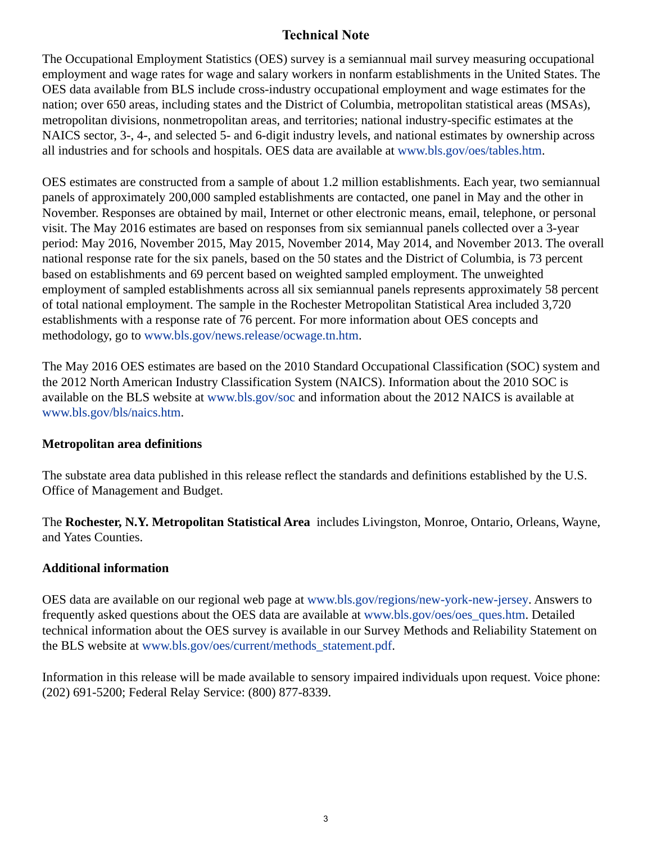## **Technical Note**

The Occupational Employment Statistics (OES) survey is a semiannual mail survey measuring occupational employment and wage rates for wage and salary workers in nonfarm establishments in the United States. The OES data available from BLS include cross-industry occupational employment and wage estimates for the nation; over 650 areas, including states and the District of Columbia, metropolitan statistical areas (MSAs), metropolitan divisions, nonmetropolitan areas, and territories; national industry-specific estimates at the NAICS sector, 3-, 4-, and selected 5- and 6-digit industry levels, and national estimates by ownership across all industries and for schools and hospitals. OES data are available at [www.bls.gov/oes/tables.htm](https://www.bls.gov/oes/tables.htm).

OES estimates are constructed from a sample of about 1.2 million establishments. Each year, two semiannual panels of approximately 200,000 sampled establishments are contacted, one panel in May and the other in November. Responses are obtained by mail, Internet or other electronic means, email, telephone, or personal visit. The May 2016 estimates are based on responses from six semiannual panels collected over a 3-year period: May 2016, November 2015, May 2015, November 2014, May 2014, and November 2013. The overall national response rate for the six panels, based on the 50 states and the District of Columbia, is 73 percent based on establishments and 69 percent based on weighted sampled employment. The unweighted employment of sampled establishments across all six semiannual panels represents approximately 58 percent of total national employment. The sample in the Rochester Metropolitan Statistical Area included 3,720 establishments with a response rate of 76 percent. For more information about OES concepts and methodology, go to [www.bls.gov/news.release/ocwage.tn.htm.](https://www.bls.gov/news.release/ocwage.tn.htm)

The May 2016 OES estimates are based on the 2010 Standard Occupational Classification (SOC) system and the 2012 North American Industry Classification System (NAICS). Information about the 2010 SOC is available on the BLS website at [www.bls.gov/soc](https://www.bls.gov/soc) and information about the 2012 NAICS is available at [www.bls.gov/bls/naics.htm.](https://www.bls.gov/bls/naics.htm)

## **Metropolitan area definitions**

The substate area data published in this release reflect the standards and definitions established by the U.S. Office of Management and Budget.

The **Rochester, N.Y. Metropolitan Statistical Area** includes Livingston, Monroe, Ontario, Orleans, Wayne, and Yates Counties.

## **Additional information**

OES data are available on our regional web page at [www.bls.gov/regions/new-york-new-jersey](https://www.bls.gov/regions/new-york-new-jersey). Answers to frequently asked questions about the OES data are available at [www.bls.gov/oes/oes\\_ques.htm](https://www.bls.gov/oes/oes_ques.htm). Detailed technical information about the OES survey is available in our Survey Methods and Reliability Statement on the BLS website at [www.bls.gov/oes/current/methods\\_statement.pdf](https://www.bls.gov/oes/current/methods_statement.pdf).

Information in this release will be made available to sensory impaired individuals upon request. Voice phone: (202) 691-5200; Federal Relay Service: (800) 877-8339.